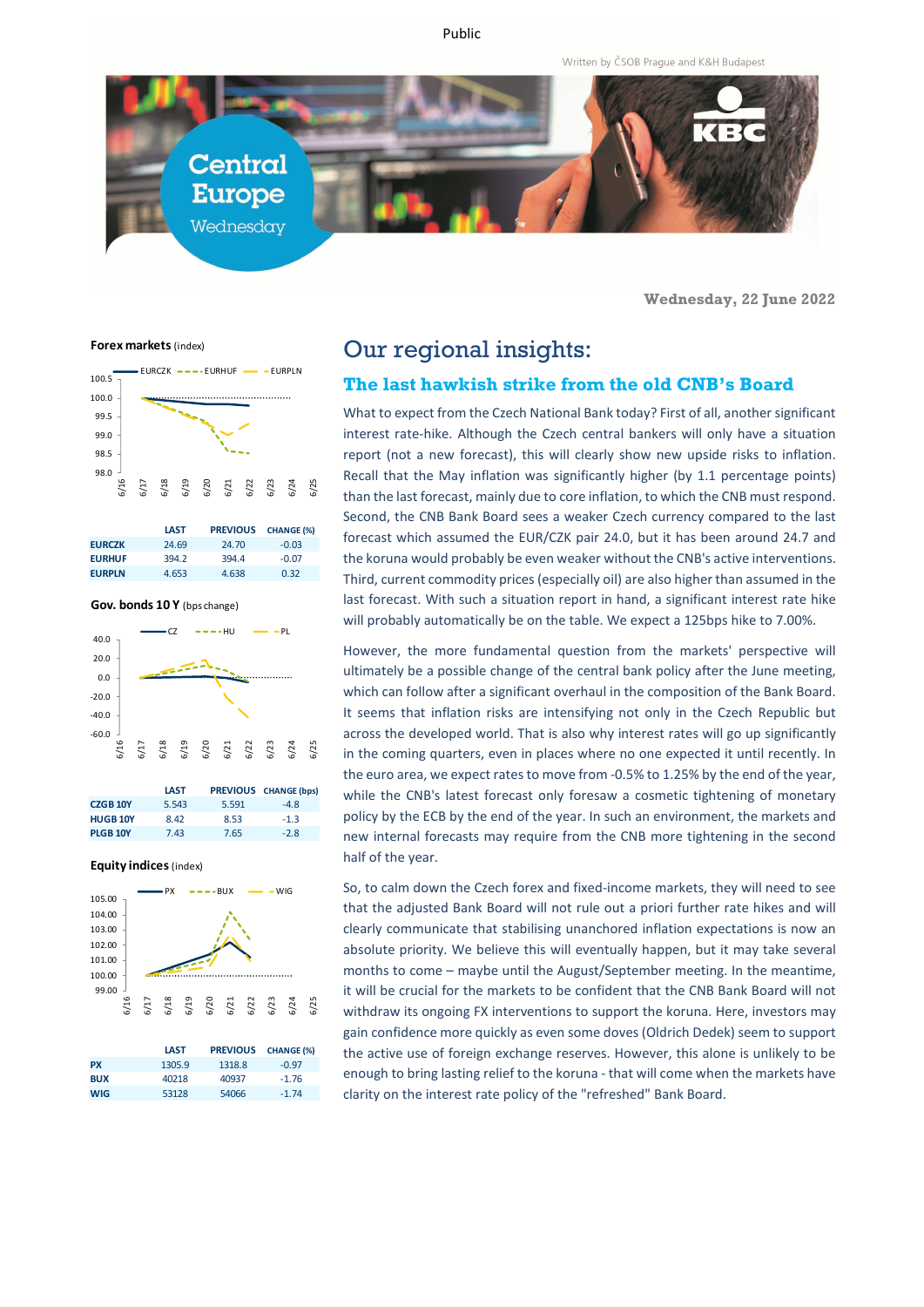Public

Written by ČSOB Prague and K&H Budapest



**Wednesday, 22 June 2022**

**Forex markets** (index)



|               | <b>LAST</b> | <b>PREVIOUS</b> | <b>CHANGE (%)</b> |
|---------------|-------------|-----------------|-------------------|
| <b>EURCZK</b> | 24.69       | 24.70           | $-0.03$           |
| <b>EURHUF</b> | 394.2       | 3944            | $-0.07$           |
| <b>EURPLN</b> | 4.653       | 4.638           | 0.32              |

**Gov. bonds 10 Y** (bps change)



|                 | <b>LAST</b> |       | <b>PREVIOUS CHANGE (bps)</b> |
|-----------------|-------------|-------|------------------------------|
| <b>CZGB 10Y</b> | 5.543       | 5.591 | $-4.8$                       |
| <b>HUGB 10Y</b> | 8.42        | 8.53  | $-1.3$                       |
| <b>PLGB 10Y</b> | 7.43        | 7.65  | $-2.8$                       |

**Equity indices** (index)



|            | <b>LAST</b> | <b>PREVIOUS</b> | <b>CHANGE (%)</b> |
|------------|-------------|-----------------|-------------------|
| <b>PX</b>  | 1305.9      | 1318.8          | $-0.97$           |
| <b>BUX</b> | 40218       | 40937           | $-1.76$           |
| <b>WIG</b> | 53128       | 54066           | $-1.74$           |

# Our regional insights:

#### **The last hawkish strike from the old CNB's Board**

What to expect from the Czech National Bank today? First of all, another significant interest rate-hike. Although the Czech central bankers will only have a situation report (not a new forecast), this will clearly show new upside risks to inflation. Recall that the May inflation was significantly higher (by 1.1 percentage points) than the last forecast, mainly due to core inflation, to which the CNB must respond. Second, the CNB Bank Board sees a weaker Czech currency compared to the last forecast which assumed the EUR/CZK pair 24.0, but it has been around 24.7 and the koruna would probably be even weaker without the CNB's active interventions. Third, current commodity prices (especially oil) are also higher than assumed in the last forecast. With such a situation report in hand, a significant interest rate hike will probably automatically be on the table. We expect a 125bps hike to 7.00%.

However, the more fundamental question from the markets' perspective will ultimately be a possible change of the central bank policy after the June meeting, which can follow after a significant overhaul in the composition of the Bank Board. It seems that inflation risks are intensifying not only in the Czech Republic but across the developed world. That is also why interest rates will go up significantly in the coming quarters, even in places where no one expected it until recently. In the euro area, we expect rates to move from -0.5% to 1.25% by the end of the year, while the CNB's latest forecast only foresaw a cosmetic tightening of monetary policy by the ECB by the end of the year. In such an environment, the markets and new internal forecasts may require from the CNB more tightening in the second half of the year.

So, to calm down the Czech forex and fixed-income markets, they will need to see that the adjusted Bank Board will not rule out a priori further rate hikes and will clearly communicate that stabilising unanchored inflation expectations is now an absolute priority. We believe this will eventually happen, but it may take several months to come – maybe until the August/September meeting. In the meantime, it will be crucial for the markets to be confident that the CNB Bank Board will not withdraw its ongoing FX interventions to support the koruna. Here, investors may gain confidence more quickly as even some doves (Oldrich Dedek) seem to support the active use of foreign exchange reserves. However, this alone is unlikely to be enough to bring lasting relief to the koruna - that will come when the markets have clarity on the interest rate policy of the "refreshed" Bank Board.